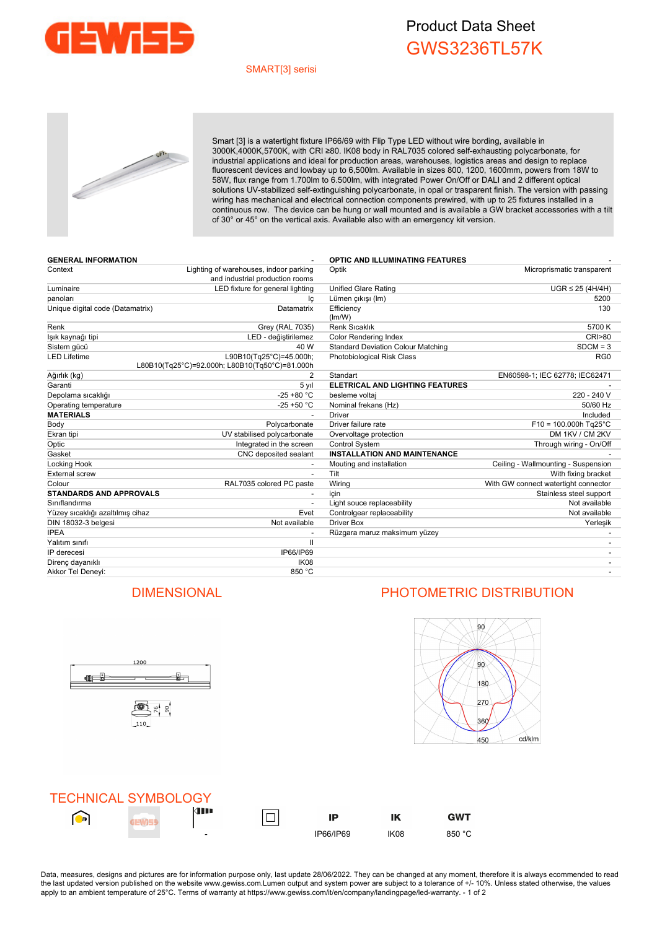

## Product Data Sheet GWS3236TL57K

### SMART[3] serisi



Smart [3] is a watertight fixture IP66/69 with Flip Type LED without wire bording, available in 3000K,4000K,5700K, with CRI ≥80. IK08 body in RAL7035 colored self-exhausting polycarbonate, for industrial applications and ideal for production areas, warehouses, logistics areas and design to replace fluorescent devices and lowbay up to 6,500lm. Available in sizes 800, 1200, 1600mm, powers from 18W to 58W, flux range from 1.700lm to 6.500lm, with integrated Power On/Off or DALI and 2 different optical solutions UV-stabilized self-extinguishing polycarbonate, in opal or trasparent finish. The version with passing wiring has mechanical and electrical connection components prewired, with up to 25 fixtures installed in a continuous row. The device can be hung or wall mounted and is available a GW bracket accessories with a tilt of 30° or 45° on the vertical axis. Available also with an emergency kit version.

| <b>GENERAL INFORMATION</b>       |                                                                           | <b>OPTIC AND ILLUMINATING FEATURES</b>    |                                      |
|----------------------------------|---------------------------------------------------------------------------|-------------------------------------------|--------------------------------------|
| Context                          | Lighting of warehouses, indoor parking<br>and industrial production rooms | Optik                                     | Microprismatic transparent           |
| Luminaire                        | LED fixture for general lighting                                          | <b>Unified Glare Rating</b>               | $UGR \leq 25 (4H/4H)$                |
| panoları                         | Ιc                                                                        | Lümen çıkışı (Im)                         | 5200                                 |
| Unique digital code (Datamatrix) | Datamatrix                                                                | Efficiency<br>(lm/W)                      | 130                                  |
| Renk                             | Grey (RAL 7035)                                                           | <b>Renk Sıcaklık</b>                      | 5700 K                               |
| lşık kaynağı tipi                | LED - değiştirilemez                                                      | <b>Color Rendering Index</b>              | <b>CRI&gt;80</b>                     |
| Sistem gücü                      | 40 W                                                                      | <b>Standard Deviation Colour Matching</b> | $SDCM = 3$                           |
| LED Lifetime                     | L90B10(Tg25°C)=45.000h;<br>L80B10(Tg25°C)=92.000h; L80B10(Tg50°C)=81.000h | Photobiological Risk Class                | RG <sub>0</sub>                      |
| Ağırlık (kg)                     | 2                                                                         | Standart                                  | EN60598-1; IEC 62778; IEC62471       |
| Garanti                          | 5 yıl                                                                     | <b>ELETRICAL AND LIGHTING FEATURES</b>    |                                      |
| Depolama sıcaklığı               | $-25 + 80 °C$                                                             | besleme voltaj                            | 220 - 240 V                          |
| Operating temperature            | $-25 + 50 °C$                                                             | Nominal frekans (Hz)                      | 50/60 Hz                             |
| <b>MATERIALS</b>                 |                                                                           | <b>Driver</b>                             | Included                             |
| Body                             | Polycarbonate                                                             | Driver failure rate                       | $F10 = 100.000h$ Tg25°C              |
| Ekran tipi                       | UV stabilised polycarbonate                                               | Overvoltage protection                    | DM 1KV / CM 2KV                      |
| Optic                            | Integrated in the screen                                                  | Control System                            | Through wiring - On/Off              |
| Gasket                           | CNC deposited sealant                                                     | <b>INSTALLATION AND MAINTENANCE</b>       |                                      |
| Locking Hook                     |                                                                           | Mouting and installation                  | Ceiling - Wallmounting - Suspension  |
| <b>External screw</b>            |                                                                           | Tilt                                      | With fixing bracket                  |
| Colour                           | RAL7035 colored PC paste                                                  | Wiring                                    | With GW connect watertight connector |
| <b>STANDARDS AND APPROVALS</b>   |                                                                           | icin                                      | Stainless steel support              |
| Sınıflandırma                    |                                                                           | Light souce replaceability                | Not available                        |
| Yüzey sıcaklığı azaltılmış cihaz | Evet                                                                      | Controlgear replaceability                | Not available                        |
| DIN 18032-3 belgesi              | Not available                                                             | <b>Driver Box</b>                         | Yerleşik                             |
| <b>IPEA</b>                      |                                                                           | Rüzgara maruz maksimum yüzey              |                                      |
| Yalıtım sınıfı                   | $\mathbf{H}$                                                              |                                           |                                      |
| IP derecesi                      | IP66/IP69                                                                 |                                           |                                      |
| Direnç dayanıklı                 | IK <sub>08</sub>                                                          |                                           |                                      |
| Akkor Tel Deneyi:                | 850 °C                                                                    |                                           |                                      |



## DIMENSIONAL PHOTOMETRIC DISTRIBUTION



**GWT** 



Data, measures, designs and pictures are for information purpose only, last update 28/06/2022. They can be changed at any moment, therefore it is always ecommended to read the last updated version published on the website www.gewiss.com.Lumen output and system power are subject to a tolerance of +/- 10%. Unless stated otherwise, the values apply to an ambient temperature of 25°C. Terms of warranty at https://www.gewiss.com/it/en/company/landingpage/led-warranty. - 1 of 2